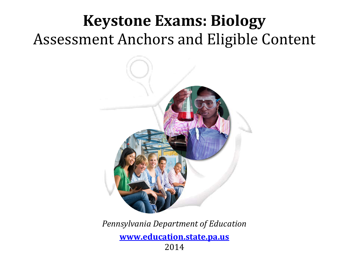# **Keystone Exams: Biology**  Assessment Anchors and Eligible Content



*Pennsylvania Department of Education* 

**www.education.state.pa.us** 2014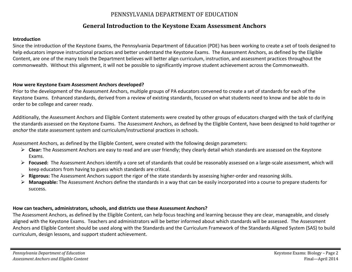#### PENNSYLVANIA DEPARTMENT OF EDUCATION

#### **General Introduction to the Keystone Exam Assessment Anchors**

#### **Introduction**

Since the introduction of the Keystone Exams, the Pennsylvania Department of Education (PDE) has been working to create a set of tools designed to help educators improve instructional practices and better understand the Keystone Exams. The Assessment Anchors, as defined by the Eligible Content, are one of the many tools the Department believes will better align curriculum, instruction, and assessment practices throughout the commonwealth. Without this alignment, it will not be possible to significantly improve student achievement across the Commonwealth.

#### **How were Keystone Exam Assessment Anchors developed?**

Prior to the development of the Assessment Anchors, multiple groups of PA educators convened to create a set of standards for each of the Keystone Exams. Enhanced standards, derived from a review of existing standards, focused on what students need to know and be able to do in order to be college and career ready.

Additionally, the Assessment Anchors and Eligible Content statements were created by other groups of educators charged with the task of clarifying the standards assessed on the Keystone Exams. The Assessment Anchors, as defined by the Eligible Content, have been designed to hold together or *anchor* the state assessment system and curriculum/instructional practices in schools.

Assessment Anchors, as defined by the Eligible Content, were created with the following design parameters:

- **Clear:** The Assessment Anchors are easy to read and are user friendly; they clearly detail which standards are assessed on the Keystone Exams.
- **Focused:** The Assessment Anchors identify a core set of standards that could be reasonably assessed on a large-scale assessment, which will keep educators from having to guess which standards are critical.
- **Rigorous:** The Assessment Anchors support the rigor of the state standards by assessing higher-order and reasoning skills.
- **Manageable:** The Assessment Anchors define the standards in a way that can be easily incorporated into a course to prepare students for success.

#### **How can teachers, administrators, schools, and districts use these Assessment Anchors?**

The Assessment Anchors, as defined by the Eligible Content, can help focus teaching and learning because they are clear, manageable, and closely aligned with the Keystone Exams. Teachers and administrators will be better informed about which standards will be assessed. The Assessment Anchors and Eligible Content should be used along with the Standards and the Curriculum Framework of the Standards Aligned System (SAS) to build curriculum, design lessons, and support student achievement.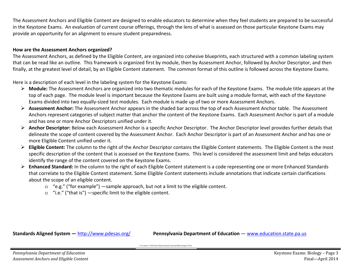The Assessment Anchors and Eligible Content are designed to enable educators to determine when they feel students are prepared to be successful in the Keystone Exams. An evaluation of current course offerings, through the lens of what is assessed on those particular Keystone Exams may provide an opportunity for an alignment to ensure student preparedness.

#### **How are the Assessment Anchors organized?**

The Assessment Anchors, as defined by the Eligible Content, are organized into cohesive blueprints, each structured with a common labeling system that can be read like an outline. This framework is organized first by module, then by Assessment Anchor, followed by Anchor Descriptor, and then finally, at the greatest level of detail, by an Eligible Content statement. The common format of this outline is followed across the Keystone Exams.

Here is a description of each level in the labeling system for the Keystone Exams:

- **Module:** The Assessment Anchors are organized into two thematic modules for each of the Keystone Exams. The module title appears at the top of each page. The module level is important because the Keystone Exams are built using a module format, with each of the Keystone Exams divided into two equally-sized test modules. Each module is made up of two or more Assessment Anchors.
- **Assessment Anchor:** The Assessment Anchor appears in the shaded bar across the top of each Assessment Anchor table. The Assessment Anchors represent categories of subject matter that anchor the content of the Keystone Exams. Each Assessment Anchor is part of a module and has one or more Anchor Descriptors unified under it.
- **Anchor Descriptor:** Below each Assessment Anchor is a specific Anchor Descriptor. The Anchor Descriptor level provides further details that delineate the scope of content covered by the Assessment Anchor. Each Anchor Descriptor is part of an Assessment Anchor and has one or more Eligible Content unified under it.
- **Eligible Content:** The column to the right of the Anchor Descriptor contains the Eligible Content statements. The Eligible Content is the most specific description of the content that is assessed on the Keystone Exams. This level is considered the assessment limit and helps educators identify the range of the content covered on the Keystone Exams.
- **Enhanced Standard:** In the column to the right of each Eligible Content statement is a code representing one or more Enhanced Standards that correlate to the Eligible Content statement. Some Eligible Content statements include annotations that indicate certain clarifications about the scope of an eligible content.
	- o "e.g." ("for example") —sample approach, but not a limit to the eligible content.
	- o "i.e." ("that is") —specific limit to the eligible content.

**Standards Aligned System —** http://www.pdesas.org/ **Pennsylvania Department of Education** — www.education.state.pa.us

Cover photo © Hill Street Studios/Harmik Nazarian/Blend Images/Corbis.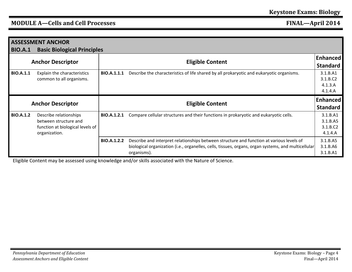| <b>ASSESSMENT ANCHOR</b><br><b>Basic Biological Principles</b><br><b>BIO.A.1</b> |                                  |                    |                                                                                                     |                 |  |
|----------------------------------------------------------------------------------|----------------------------------|--------------------|-----------------------------------------------------------------------------------------------------|-----------------|--|
| <b>Anchor Descriptor</b>                                                         |                                  |                    |                                                                                                     |                 |  |
|                                                                                  |                                  |                    | <b>Eligible Content</b>                                                                             | <b>Standard</b> |  |
| <b>BIO.A.1.1</b>                                                                 | Explain the characteristics      | <b>BIO.A.1.1.1</b> | Describe the characteristics of life shared by all prokaryotic and eukaryotic organisms.            | 3.1.B.A1        |  |
|                                                                                  | common to all organisms.         |                    |                                                                                                     | 3.1.B.C2        |  |
|                                                                                  |                                  |                    |                                                                                                     | 4.1.3.A         |  |
|                                                                                  |                                  |                    |                                                                                                     | 4.1.4.A         |  |
|                                                                                  |                                  |                    |                                                                                                     |                 |  |
|                                                                                  |                                  |                    |                                                                                                     | <b>Enhanced</b> |  |
|                                                                                  | <b>Anchor Descriptor</b>         |                    | <b>Eligible Content</b>                                                                             | <b>Standard</b> |  |
| <b>BIO.A.1.2</b>                                                                 | Describe relationships           | BIO.A.1.2.1        | Compare cellular structures and their functions in prokaryotic and eukaryotic cells.                | 3.1.B.A1        |  |
|                                                                                  | between structure and            |                    |                                                                                                     | 3.1.B.A5        |  |
|                                                                                  | function at biological levels of |                    |                                                                                                     | 3.1.B.C2        |  |
|                                                                                  | organization.                    |                    |                                                                                                     | 4.1.4.A         |  |
|                                                                                  |                                  | <b>BIO.A.1.2.2</b> | Describe and interpret relationships between structure and function at various levels of            | 3.1.B.A5        |  |
|                                                                                  |                                  |                    | biological organization (i.e., organelles, cells, tissues, organs, organ systems, and multicellular | 3.1.B.A6        |  |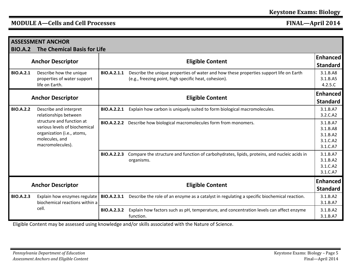| <b>ASSESSMENT ANCHOR</b> |                                                                                                                                |                                     |                                                                                                                                                 |                                                          |  |
|--------------------------|--------------------------------------------------------------------------------------------------------------------------------|-------------------------------------|-------------------------------------------------------------------------------------------------------------------------------------------------|----------------------------------------------------------|--|
| <b>BIO.A.2</b>           | <b>The Chemical Basis for Life</b><br><b>Anchor Descriptor</b>                                                                 | Enhanced<br><b>Eligible Content</b> |                                                                                                                                                 |                                                          |  |
| <b>BIO.A.2.1</b>         | Describe how the unique<br>properties of water support<br>life on Earth.                                                       | BIO.A.2.1.1                         | Describe the unique properties of water and how these properties support life on Earth<br>(e.g., freezing point, high specific heat, cohesion). | 3.1.B.A8<br>3.1.B.A5<br>4.2.5.C                          |  |
| <b>Anchor Descriptor</b> |                                                                                                                                |                                     | <b>Eligible Content</b>                                                                                                                         | <b>Enhanced</b><br><b>Standard</b>                       |  |
| <b>BIO.A.2.2</b>         | Describe and interpret<br>relationships between                                                                                | <b>BIO.A.2.2.1</b>                  | Explain how carbon is uniquely suited to form biological macromolecules.                                                                        | 3.1.B.A7<br>3.2.C.A2                                     |  |
|                          | structure and function at<br>various levels of biochemical<br>organization (i.e., atoms,<br>molecules, and<br>macromolecules). | <b>BIO.A.2.2.2</b>                  | Describe how biological macromolecules form from monomers.                                                                                      | 3.1.B.A7<br>3.1.B.A8<br>3.1.B.A2<br>3.1.C.A2<br>3.1.C.A7 |  |
|                          |                                                                                                                                | <b>BIO.A.2.2.3</b>                  | Compare the structure and function of carbohydrates, lipids, proteins, and nucleic acids in<br>organisms.                                       | 3.1.B.A7<br>3.1.B.A2<br>3.1.C.A2<br>3.1.C.A7             |  |
| <b>Anchor Descriptor</b> |                                                                                                                                |                                     | <b>Eligible Content</b>                                                                                                                         | <b>Enhanced</b><br><b>Standard</b>                       |  |
| <b>BIO.A.2.3</b>         | Explain how enzymes regulate<br>biochemical reactions within a                                                                 | <b>BIO.A.2.3.1</b>                  | Describe the role of an enzyme as a catalyst in regulating a specific biochemical reaction.                                                     | 3.1.B.A2<br>3.1.B.A7                                     |  |
| cell.                    |                                                                                                                                | <b>BIO.A.2.3.2</b>                  | Explain how factors such as pH, temperature, and concentration levels can affect enzyme<br>function.                                            | 3.1.B.A2<br>3.1.B.A7                                     |  |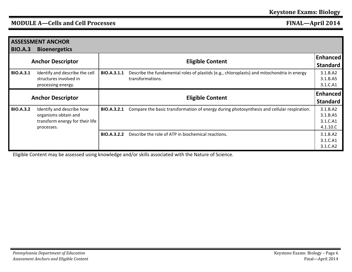| <b>ASSESSMENT ANCHOR</b> |                                 |                         |                                                                                            |                 |
|--------------------------|---------------------------------|-------------------------|--------------------------------------------------------------------------------------------|-----------------|
| <b>BIO.A.3</b>           | <b>Bioenergetics</b>            |                         |                                                                                            |                 |
|                          |                                 | <b>Eligible Content</b> |                                                                                            |                 |
|                          | <b>Anchor Descriptor</b>        |                         |                                                                                            |                 |
| <b>BIO.A.3.1</b>         | Identify and describe the cell  | BIO.A.3.1.1             | Describe the fundamental roles of plastids (e.g., chloroplasts) and mitochondria in energy | 3.1.B.A2        |
|                          | structures involved in          |                         | transformations.                                                                           | 3.1.B.A5        |
|                          | processing energy.              |                         |                                                                                            | 3.1.C.A1        |
|                          |                                 |                         |                                                                                            | <b>Enhanced</b> |
|                          | <b>Anchor Descriptor</b>        | <b>Eligible Content</b> |                                                                                            |                 |
| <b>BIO.A.3.2</b>         | Identify and describe how       | <b>BIO.A.3.2.1</b>      | Compare the basic transformation of energy during photosynthesis and cellular respiration. | 3.1.B.A2        |
|                          | organisms obtain and            |                         |                                                                                            | 3.1.B.A5        |
|                          | transform energy for their life |                         |                                                                                            | 3.1.C.A1        |
|                          | processes.                      |                         |                                                                                            | 4.1.10.C        |
|                          |                                 |                         |                                                                                            |                 |
|                          |                                 | <b>BIO.A.3.2.2</b>      | Describe the role of ATP in biochemical reactions.                                         | 3.1.B.A2        |
|                          |                                 |                         |                                                                                            | 3.1.C.A1        |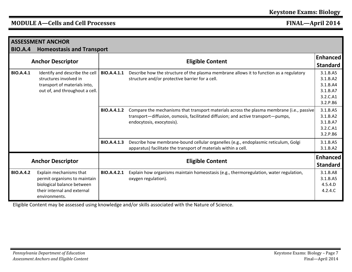| <b>ASSESSMENT ANCHOR</b>                                                                                                                       |                                                                                                                                       |                         |                                                                                                                                                                                                            |                                                          |  |  |
|------------------------------------------------------------------------------------------------------------------------------------------------|---------------------------------------------------------------------------------------------------------------------------------------|-------------------------|------------------------------------------------------------------------------------------------------------------------------------------------------------------------------------------------------------|----------------------------------------------------------|--|--|
| <b>BIO.A.4</b>                                                                                                                                 | <b>Homeostasis and Transport</b>                                                                                                      |                         |                                                                                                                                                                                                            |                                                          |  |  |
| <b>Anchor Descriptor</b>                                                                                                                       |                                                                                                                                       | <b>Eligible Content</b> |                                                                                                                                                                                                            | Enhanced<br><b>Standard</b>                              |  |  |
| <b>BIO.A.4.1</b><br>Identify and describe the cell<br>structures involved in<br>transport of materials into,<br>out of, and throughout a cell. |                                                                                                                                       | BIO.A.4.1.1             | Describe how the structure of the plasma membrane allows it to function as a regulatory<br>structure and/or protective barrier for a cell.                                                                 |                                                          |  |  |
|                                                                                                                                                |                                                                                                                                       | <b>BIO.A.4.1.2</b>      | Compare the mechanisms that transport materials across the plasma membrane (i.e., passive<br>transport-diffusion, osmosis, facilitated diffusion; and active transport-pumps,<br>endocytosis, exocytosis). | 3.1.B.A5<br>3.1.B.A2<br>3.1.B.A7<br>3.2.C.A1<br>3.2.P.B6 |  |  |
|                                                                                                                                                |                                                                                                                                       | <b>BIO.A.4.1.3</b>      | Describe how membrane-bound cellular organelles (e.g., endoplasmic reticulum, Golgi<br>apparatus) facilitate the transport of materials within a cell.                                                     | 3.1.B.A5<br>3.1.B.A2                                     |  |  |
| <b>Anchor Descriptor</b>                                                                                                                       |                                                                                                                                       |                         | <b>Eligible Content</b>                                                                                                                                                                                    | <b>Enhanced</b><br><b>Standard</b>                       |  |  |
| <b>BIO.A.4.2</b>                                                                                                                               | Explain mechanisms that<br>permit organisms to maintain<br>biological balance between<br>their internal and external<br>environments. | BIO.A.4.2.1             | Explain how organisms maintain homeostasis (e.g., thermoregulation, water regulation,<br>oxygen regulation).                                                                                               | 3.1.B.A8<br>3.1.B.A5<br>4.5.4.D<br>4.2.4.C               |  |  |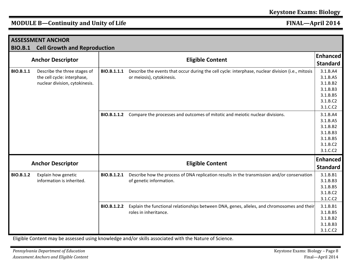| <b>ASSESSMENT ANCHOR</b> |                                     |             |                                                                                                   |                 |
|--------------------------|-------------------------------------|-------------|---------------------------------------------------------------------------------------------------|-----------------|
| <b>BIO.B.1</b>           | <b>Cell Growth and Reproduction</b> |             |                                                                                                   |                 |
|                          |                                     |             |                                                                                                   | <b>Enhanced</b> |
|                          | <b>Anchor Descriptor</b>            |             | <b>Eligible Content</b>                                                                           | <b>Standard</b> |
| <b>BIO.B.1.1</b>         | Describe the three stages of        | BIO.B.1.1.1 | Describe the events that occur during the cell cycle: interphase, nuclear division (i.e., mitosis |                 |
|                          | the cell cycle: interphase,         |             | or meiosis), cytokinesis.                                                                         | 3.1.B.A5        |
|                          | nuclear division, cytokinesis.      |             |                                                                                                   | 3.1.B.B2        |
|                          |                                     |             |                                                                                                   | 3.1.B.B3        |
|                          |                                     |             |                                                                                                   | 3.1.B.B5        |
|                          |                                     |             |                                                                                                   | 3.1.B.C2        |
|                          |                                     |             |                                                                                                   | 3.1.C.C2        |
|                          |                                     | BIO.B.1.1.2 | Compare the processes and outcomes of mitotic and meiotic nuclear divisions.                      | 3.1.B.A4        |
|                          |                                     |             |                                                                                                   | 3.1.B.A5        |
|                          |                                     |             |                                                                                                   | 3.1.B.B2        |
|                          |                                     |             |                                                                                                   | 3.1.B.B3        |
|                          |                                     |             |                                                                                                   | 3.1.B.B5        |
|                          |                                     |             |                                                                                                   | 3.1.B.C2        |
|                          |                                     |             |                                                                                                   |                 |
|                          |                                     |             |                                                                                                   | <b>Enhanced</b> |
|                          | <b>Anchor Descriptor</b>            |             | <b>Eligible Content</b><br><b>Standard</b>                                                        |                 |
| <b>BIO.B.1.2</b>         | Explain how genetic                 | BIO.B.1.2.1 | Describe how the process of DNA replication results in the transmission and/or conservation       | 3.1.B.B1        |
|                          | information is inherited.           |             | of genetic information.                                                                           | 3.1.B.B3        |
|                          |                                     |             |                                                                                                   | 3.1.B.B5        |
|                          |                                     |             |                                                                                                   | 3.1.B.C2        |
|                          |                                     |             |                                                                                                   | 3.1.C.C2        |
|                          |                                     | BIO.B.1.2.2 | Explain the functional relationships between DNA, genes, alleles, and chromosomes and their       | 3.1.B.B1        |
|                          |                                     |             | roles in inheritance.                                                                             | 3.1.B.B5        |
|                          |                                     |             |                                                                                                   | 3.1.B.B2        |
|                          |                                     |             |                                                                                                   | 3.1.B.B3        |
|                          |                                     |             |                                                                                                   | 3.1.C.C2        |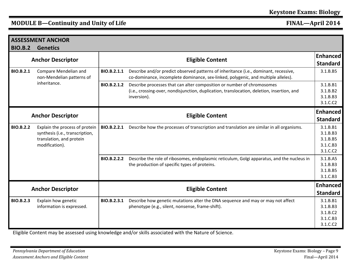| <b>BIO.B.2</b>                                                                                                                      | <b>ASSESSMENT ANCHOR</b><br><b>Genetics</b>      |                         |                                                                                                                                                                                     |                                                          |  |  |
|-------------------------------------------------------------------------------------------------------------------------------------|--------------------------------------------------|-------------------------|-------------------------------------------------------------------------------------------------------------------------------------------------------------------------------------|----------------------------------------------------------|--|--|
| <b>Anchor Descriptor</b>                                                                                                            |                                                  | <b>Eligible Content</b> |                                                                                                                                                                                     |                                                          |  |  |
| <b>BIO.B.2.1</b><br>Compare Mendelian and<br>non-Mendelian patterns of<br>inheritance.                                              |                                                  | BIO.B.2.1.1             | Describe and/or predict observed patterns of inheritance (i.e., dominant, recessive,<br>co-dominance, incomplete dominance, sex-linked, polygenic, and multiple alleles).           |                                                          |  |  |
|                                                                                                                                     |                                                  | BIO.B.2.1.2             | Describe processes that can alter composition or number of chromosomes<br>(i.e., crossing-over, nondisjunction, duplication, translocation, deletion, insertion, and<br>inversion). | 3.1.B.B1<br>3.1.B.B2<br>3.1.B.B3<br>3.1.C.C2             |  |  |
| <b>Anchor Descriptor</b>                                                                                                            |                                                  |                         | <b>Eligible Content</b>                                                                                                                                                             | <b>Enhanced</b><br><b>Standard</b>                       |  |  |
| <b>BIO.B.2.2</b><br>Explain the process of protein<br>synthesis (i.e., transcription,<br>translation, and protein<br>modification). |                                                  | BIO.B.2.2.1             | Describe how the processes of transcription and translation are similar in all organisms.                                                                                           | 3.1.B.B1<br>3.1.B.B3<br>3.1.B.B5<br>3.1.C.B3<br>3.1.C.C2 |  |  |
|                                                                                                                                     |                                                  | <b>BIO.B.2.2.2</b>      | Describe the role of ribosomes, endoplasmic reticulum, Golgi apparatus, and the nucleus in<br>the production of specific types of proteins.                                         | 3.1.B.A5<br>3.1.B.B3<br>3.1.B.B5<br>3.1.C.B3             |  |  |
| <b>Anchor Descriptor</b>                                                                                                            |                                                  |                         | <b>Eligible Content</b>                                                                                                                                                             | <b>Enhanced</b><br><b>Standard</b>                       |  |  |
| <b>BIO.B.2.3</b>                                                                                                                    | Explain how genetic<br>information is expressed. | BIO.B.2.3.1             | Describe how genetic mutations alter the DNA sequence and may or may not affect<br>phenotype (e.g., silent, nonsense, frame-shift).                                                 | 3.1.B.B1<br>3.1.B.B3<br>3.1.B.C2<br>3.1.C.B3<br>3.1.C.C2 |  |  |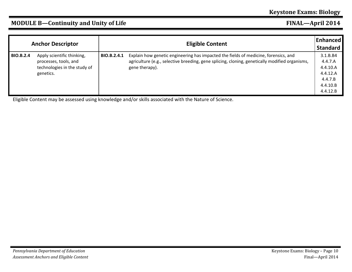| <b>Anchor Descriptor</b> |                                                                                                  | Enhanced <br><b>Eligible Content</b> |                                                                                                                                                                                                         |                                                                                |
|--------------------------|--------------------------------------------------------------------------------------------------|--------------------------------------|---------------------------------------------------------------------------------------------------------------------------------------------------------------------------------------------------------|--------------------------------------------------------------------------------|
| <b>BIO.B.2.4</b>         | Apply scientific thinking,<br>processes, tools, and<br>technologies in the study of<br>genetics. | BIO.B.2.4.1                          | Explain how genetic engineering has impacted the fields of medicine, forensics, and<br>agriculture (e.g., selective breeding, gene splicing, cloning, genetically modified organisms,<br>gene therapy). | 3.1.B.B4<br>4.4.7.A<br>4.4.10.A<br>4.4.12.A<br>4.4.7.B<br>4.4.10.B<br>4.4.12.B |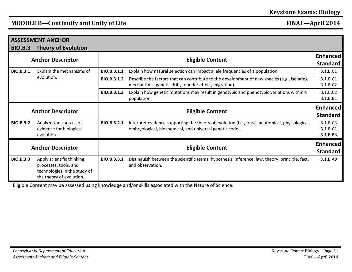|                          | <b>ASSESSMENT ANCHOR</b>                                                                                        |                         |                                                                                                                                                             |                                  |  |
|--------------------------|-----------------------------------------------------------------------------------------------------------------|-------------------------|-------------------------------------------------------------------------------------------------------------------------------------------------------------|----------------------------------|--|
| <b>BIO.B.3</b>           | <b>Theory of Evolution</b>                                                                                      |                         |                                                                                                                                                             |                                  |  |
| <b>Anchor Descriptor</b> |                                                                                                                 | <b>Eligible Content</b> |                                                                                                                                                             |                                  |  |
| <b>BIO.B.3.1</b>         | Explain the mechanisms of                                                                                       | BIO.B.3.1.1             | Explain how natural selection can impact allele frequencies of a population.                                                                                | 3.1.B.C1                         |  |
| evolution.               |                                                                                                                 | BIO.B.3.1.2             | Describe the factors that can contribute to the development of new species (e.g., isolating<br>mechanisms, genetic drift, founder effect, migration).       | 3.1.B.C1<br>3.1.B.C2             |  |
|                          |                                                                                                                 | BIO.B.3.1.3             | Explain how genetic mutations may result in genotypic and phenotypic variations within a<br>population.                                                     | 3.1.B.C2<br>3.1.B.B1             |  |
| <b>Anchor Descriptor</b> |                                                                                                                 | <b>Eligible Content</b> |                                                                                                                                                             |                                  |  |
| <b>BIO.B.3.2</b>         | Analyze the sources of<br>evidence for biological<br>evolution.                                                 | BIO.B.3.2.1             | Interpret evidence supporting the theory of evolution (i.e., fossil, anatomical, physiological,<br>embryological, biochemical, and universal genetic code). | 3.1.B.C3<br>3.1.B.C1<br>3.1.B.B3 |  |
| <b>Anchor Descriptor</b> |                                                                                                                 |                         | <b>Eligible Content</b>                                                                                                                                     | Enhanced<br><b>Standard</b>      |  |
| <b>BIO.B.3.3</b>         | Apply scientific thinking,<br>processes, tools, and<br>technologies in the study of<br>the theory of evolution. | BIO.B.3.3.1             | Distinguish between the scientific terms: hypothesis, inference, law, theory, principle, fact,<br>and observation.                                          | 3.1.B.A9                         |  |